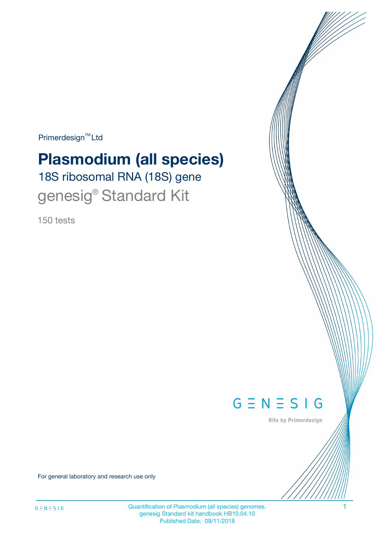Primerdesign<sup>™</sup>Ltd

# **Plasmodium (all species)**

18S ribosomal RNA (18S) gene genesig® Standard Kit

150 tests



Kits by Primerdesign

For general laboratory and research use only

Quantification of Plasmodium (all species) genomes. 1 genesig Standard kit handbook HB10.04.10 Published Date: 09/11/2018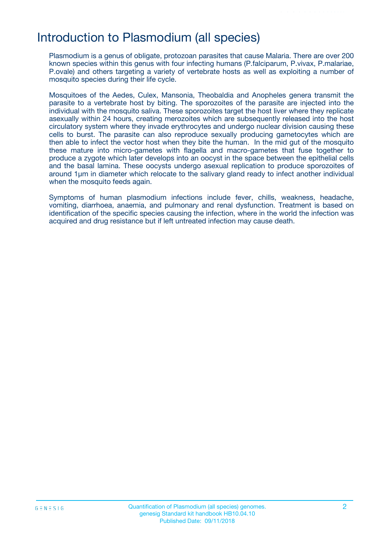## Introduction to Plasmodium (all species)

Plasmodium is a genus of obligate, protozoan parasites that cause Malaria. There are over 200 known species within this genus with four infecting humans (P.falciparum, P.vivax, P.malariae, P.ovale) and others targeting a variety of vertebrate hosts as well as exploiting a number of mosquito species during their life cycle.

Mosquitoes of the Aedes, Culex, Mansonia, Theobaldia and Anopheles genera transmit the parasite to a vertebrate host by biting. The sporozoites of the parasite are injected into the individual with the mosquito saliva. These sporozoites target the host liver where they replicate asexually within 24 hours, creating merozoites which are subsequently released into the host circulatory system where they invade erythrocytes and undergo nuclear division causing these cells to burst. The parasite can also reproduce sexually producing gametocytes which are then able to infect the vector host when they bite the human. In the mid gut of the mosquito these mature into micro-gametes with flagella and macro-gametes that fuse together to produce a zygote which later develops into an oocyst in the space between the epithelial cells and the basal lamina. These oocysts undergo asexual replication to produce sporozoites of around 1µm in diameter which relocate to the salivary gland ready to infect another individual when the mosquito feeds again.

Symptoms of human plasmodium infections include fever, chills, weakness, headache, vomiting, diarrhoea, anaemia, and pulmonary and renal dysfunction. Treatment is based on identification of the specific species causing the infection, where in the world the infection was acquired and drug resistance but if left untreated infection may cause death.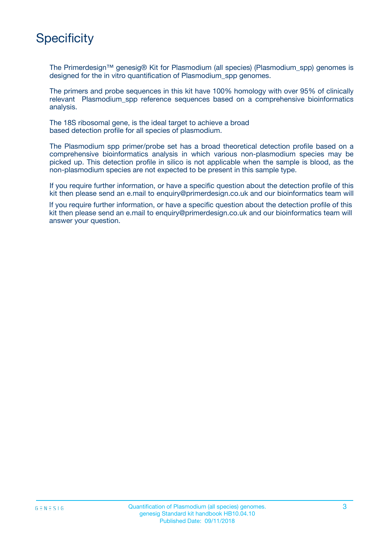# **Specificity**

The Primerdesign™ genesig® Kit for Plasmodium (all species) (Plasmodium\_spp) genomes is designed for the in vitro quantification of Plasmodium spp genomes.

The primers and probe sequences in this kit have 100% homology with over 95% of clinically relevant Plasmodium spp reference sequences based on a comprehensive bioinformatics analysis.

The 18S ribosomal gene, is the ideal target to achieve a broad based detection profile for all species of plasmodium.

The Plasmodium spp primer/probe set has a broad theoretical detection profile based on a comprehensive bioinformatics analysis in which various non-plasmodium species may be picked up. This detection profile in silico is not applicable when the sample is blood, as the non-plasmodium species are not expected to be present in this sample type.

If you require further information, or have a specific question about the detection profile of this kit then please send an e.mail to enquiry@primerdesign.co.uk and our bioinformatics team will

If you require further information, or have a specific question about the detection profile of this kit then please send an e.mail to enquiry@primerdesign.co.uk and our bioinformatics team will answer your question.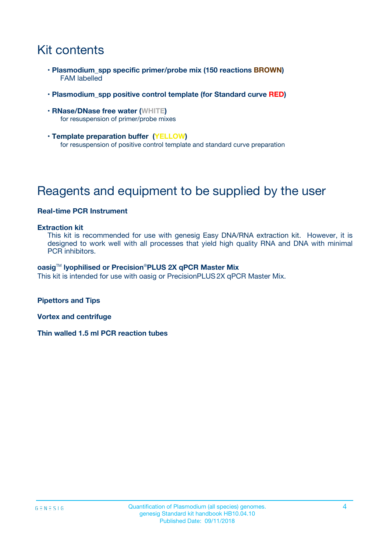# Kit contents

- **Plasmodium\_spp specific primer/probe mix (150 reactions BROWN)** FAM labelled
- **Plasmodium\_spp positive control template (for Standard curve RED)**
- **RNase/DNase free water (WHITE)** for resuspension of primer/probe mixes
- **Template preparation buffer (YELLOW)** for resuspension of positive control template and standard curve preparation

# Reagents and equipment to be supplied by the user

#### **Real-time PCR Instrument**

#### **Extraction kit**

This kit is recommended for use with genesig Easy DNA/RNA extraction kit. However, it is designed to work well with all processes that yield high quality RNA and DNA with minimal PCR inhibitors.

#### **oasig**TM **lyophilised or Precision**®**PLUS 2X qPCR Master Mix**

This kit is intended for use with oasig or PrecisionPLUS2X qPCR Master Mix.

**Pipettors and Tips**

**Vortex and centrifuge**

**Thin walled 1.5 ml PCR reaction tubes**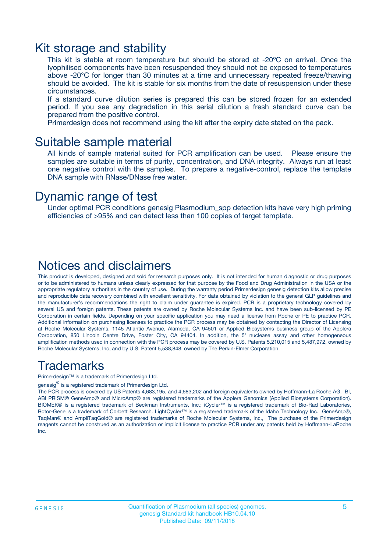### Kit storage and stability

This kit is stable at room temperature but should be stored at -20ºC on arrival. Once the lyophilised components have been resuspended they should not be exposed to temperatures above -20°C for longer than 30 minutes at a time and unnecessary repeated freeze/thawing should be avoided. The kit is stable for six months from the date of resuspension under these circumstances.

If a standard curve dilution series is prepared this can be stored frozen for an extended period. If you see any degradation in this serial dilution a fresh standard curve can be prepared from the positive control.

Primerdesign does not recommend using the kit after the expiry date stated on the pack.

### Suitable sample material

All kinds of sample material suited for PCR amplification can be used. Please ensure the samples are suitable in terms of purity, concentration, and DNA integrity. Always run at least one negative control with the samples. To prepare a negative-control, replace the template DNA sample with RNase/DNase free water.

### Dynamic range of test

Under optimal PCR conditions genesig Plasmodium\_spp detection kits have very high priming efficiencies of >95% and can detect less than 100 copies of target template.

### Notices and disclaimers

This product is developed, designed and sold for research purposes only. It is not intended for human diagnostic or drug purposes or to be administered to humans unless clearly expressed for that purpose by the Food and Drug Administration in the USA or the appropriate regulatory authorities in the country of use. During the warranty period Primerdesign genesig detection kits allow precise and reproducible data recovery combined with excellent sensitivity. For data obtained by violation to the general GLP guidelines and the manufacturer's recommendations the right to claim under guarantee is expired. PCR is a proprietary technology covered by several US and foreign patents. These patents are owned by Roche Molecular Systems Inc. and have been sub-licensed by PE Corporation in certain fields. Depending on your specific application you may need a license from Roche or PE to practice PCR. Additional information on purchasing licenses to practice the PCR process may be obtained by contacting the Director of Licensing at Roche Molecular Systems, 1145 Atlantic Avenue, Alameda, CA 94501 or Applied Biosystems business group of the Applera Corporation, 850 Lincoln Centre Drive, Foster City, CA 94404. In addition, the 5' nuclease assay and other homogeneous amplification methods used in connection with the PCR process may be covered by U.S. Patents 5,210,015 and 5,487,972, owned by Roche Molecular Systems, Inc, and by U.S. Patent 5,538,848, owned by The Perkin-Elmer Corporation.

### Trademarks

Primerdesign™ is a trademark of Primerdesign Ltd.

genesig $^\circledR$  is a registered trademark of Primerdesign Ltd.

The PCR process is covered by US Patents 4,683,195, and 4,683,202 and foreign equivalents owned by Hoffmann-La Roche AG. BI, ABI PRISM® GeneAmp® and MicroAmp® are registered trademarks of the Applera Genomics (Applied Biosystems Corporation). BIOMEK® is a registered trademark of Beckman Instruments, Inc.; iCycler™ is a registered trademark of Bio-Rad Laboratories, Rotor-Gene is a trademark of Corbett Research. LightCycler™ is a registered trademark of the Idaho Technology Inc. GeneAmp®, TaqMan® and AmpliTaqGold® are registered trademarks of Roche Molecular Systems, Inc., The purchase of the Primerdesign reagents cannot be construed as an authorization or implicit license to practice PCR under any patents held by Hoffmann-LaRoche Inc.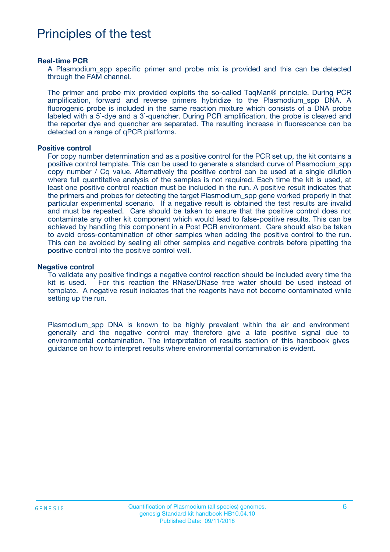## Principles of the test

#### **Real-time PCR**

A Plasmodium\_spp specific primer and probe mix is provided and this can be detected through the FAM channel.

The primer and probe mix provided exploits the so-called TaqMan® principle. During PCR amplification, forward and reverse primers hybridize to the Plasmodium spp DNA. A fluorogenic probe is included in the same reaction mixture which consists of a DNA probe labeled with a 5`-dye and a 3`-quencher. During PCR amplification, the probe is cleaved and the reporter dye and quencher are separated. The resulting increase in fluorescence can be detected on a range of qPCR platforms.

#### **Positive control**

For copy number determination and as a positive control for the PCR set up, the kit contains a positive control template. This can be used to generate a standard curve of Plasmodium\_spp copy number / Cq value. Alternatively the positive control can be used at a single dilution where full quantitative analysis of the samples is not required. Each time the kit is used, at least one positive control reaction must be included in the run. A positive result indicates that the primers and probes for detecting the target Plasmodium\_spp gene worked properly in that particular experimental scenario. If a negative result is obtained the test results are invalid and must be repeated. Care should be taken to ensure that the positive control does not contaminate any other kit component which would lead to false-positive results. This can be achieved by handling this component in a Post PCR environment. Care should also be taken to avoid cross-contamination of other samples when adding the positive control to the run. This can be avoided by sealing all other samples and negative controls before pipetting the positive control into the positive control well.

#### **Negative control**

To validate any positive findings a negative control reaction should be included every time the kit is used. For this reaction the RNase/DNase free water should be used instead of template. A negative result indicates that the reagents have not become contaminated while setting up the run.

Plasmodium\_spp DNA is known to be highly prevalent within the air and environment generally and the negative control may therefore give a late positive signal due to environmental contamination. The interpretation of results section of this handbook gives guidance on how to interpret results where environmental contamination is evident.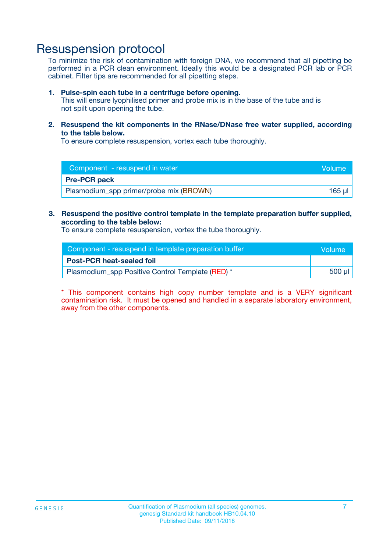## Resuspension protocol

To minimize the risk of contamination with foreign DNA, we recommend that all pipetting be performed in a PCR clean environment. Ideally this would be a designated PCR lab or PCR cabinet. Filter tips are recommended for all pipetting steps.

#### **1. Pulse-spin each tube in a centrifuge before opening.**

This will ensure lyophilised primer and probe mix is in the base of the tube and is not spilt upon opening the tube.

**2. Resuspend the kit components in the RNase/DNase free water supplied, according to the table below.**

To ensure complete resuspension, vortex each tube thoroughly.

| Component - resuspend in water          | Wolume!  |
|-----------------------------------------|----------|
| <b>Pre-PCR pack</b>                     |          |
| Plasmodium_spp primer/probe mix (BROWN) | $165$ ul |

#### **3. Resuspend the positive control template in the template preparation buffer supplied, according to the table below:**

To ensure complete resuspension, vortex the tube thoroughly.

| Component - resuspend in template preparation buffer | <b>Nolume</b> |
|------------------------------------------------------|---------------|
| <b>Post-PCR heat-sealed foil</b>                     |               |
| Plasmodium_spp Positive Control Template (RED) *     | 500 µl        |

\* This component contains high copy number template and is a VERY significant contamination risk. It must be opened and handled in a separate laboratory environment, away from the other components.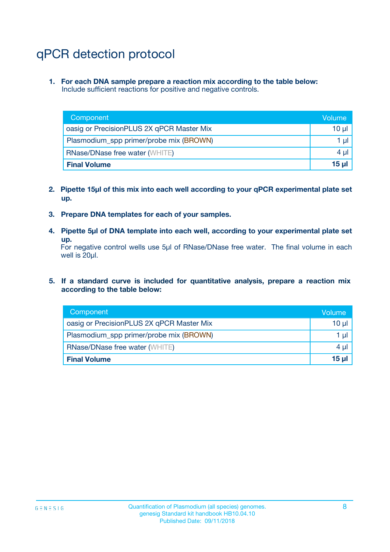# qPCR detection protocol

**1. For each DNA sample prepare a reaction mix according to the table below:** Include sufficient reactions for positive and negative controls.

| Component                                 | Volume   |
|-------------------------------------------|----------|
| oasig or PrecisionPLUS 2X qPCR Master Mix | 10 $\mu$ |
| Plasmodium_spp primer/probe mix (BROWN)   | 1 $\mu$  |
| <b>RNase/DNase free water (WHITE)</b>     | $4 \mu$  |
| <b>Final Volume</b>                       | 15 ul    |

- **2. Pipette 15µl of this mix into each well according to your qPCR experimental plate set up.**
- **3. Prepare DNA templates for each of your samples.**
- **4. Pipette 5µl of DNA template into each well, according to your experimental plate set up.**

For negative control wells use 5µl of RNase/DNase free water. The final volume in each well is 20µl.

**5. If a standard curve is included for quantitative analysis, prepare a reaction mix according to the table below:**

| Component                                 | Volume   |
|-------------------------------------------|----------|
| oasig or PrecisionPLUS 2X qPCR Master Mix | 10 µl    |
| Plasmodium_spp primer/probe mix (BROWN)   | 1 µI     |
| <b>RNase/DNase free water (WHITE)</b>     | $4 \mu$  |
| <b>Final Volume</b>                       | $15 \mu$ |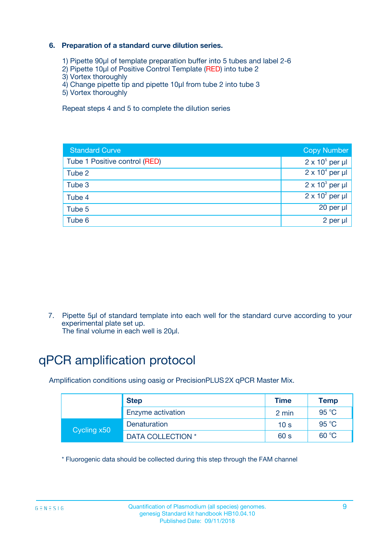### **6. Preparation of a standard curve dilution series.**

- 1) Pipette 90µl of template preparation buffer into 5 tubes and label 2-6
- 2) Pipette 10µl of Positive Control Template (RED) into tube 2
- 3) Vortex thoroughly
- 4) Change pipette tip and pipette 10µl from tube 2 into tube 3
- 5) Vortex thoroughly

Repeat steps 4 and 5 to complete the dilution series

| <b>Standard Curve</b>         | <b>Copy Number</b>     |
|-------------------------------|------------------------|
| Tube 1 Positive control (RED) | $2 \times 10^5$ per µl |
| Tube 2                        | $2 \times 10^4$ per µl |
| Tube 3                        | $2 \times 10^3$ per µl |
| Tube 4                        | $2 \times 10^2$ per µl |
| Tube 5                        | 20 per µl              |
| Tube 6                        | $2$ per $\mu$          |

7. Pipette 5µl of standard template into each well for the standard curve according to your experimental plate set up.

The final volume in each well is 20µl.

# qPCR amplification protocol

Amplification conditions using oasig or PrecisionPLUS2X qPCR Master Mix.

| <b>Step</b> |                   | <b>Time</b>     | Temp    |
|-------------|-------------------|-----------------|---------|
|             | Enzyme activation | 2 min           | 95 °C   |
| Cycling x50 | Denaturation      | 10 <sub>s</sub> | 95 $°C$ |
|             | DATA COLLECTION * | 60 s            | 60 °C   |

\* Fluorogenic data should be collected during this step through the FAM channel